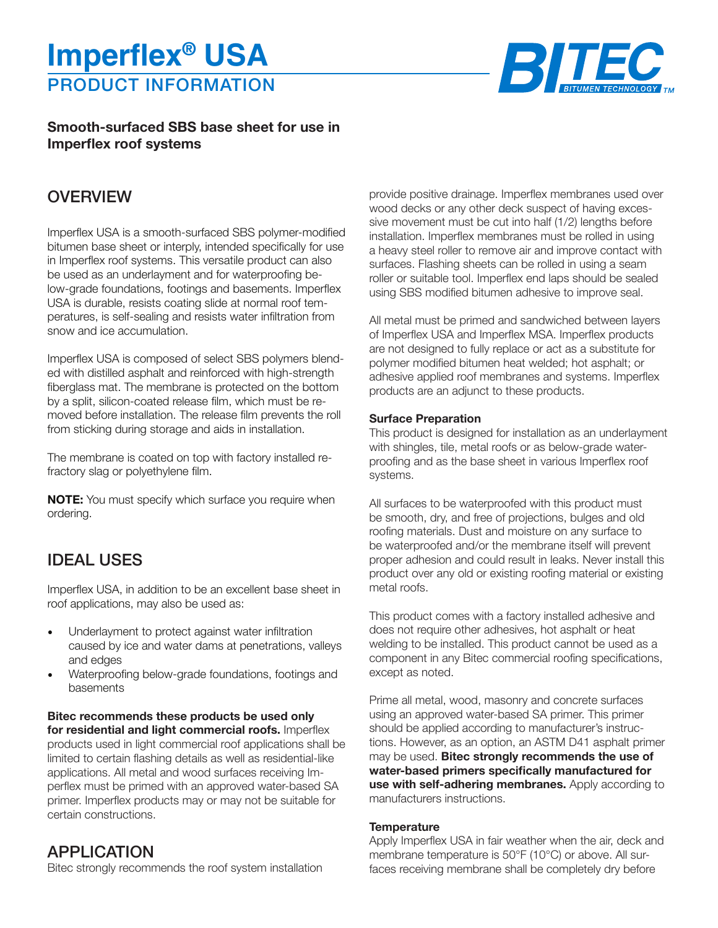# PRODUCT INFORMATION **Imperflex® USA**



### **Smooth-surfaced SBS base sheet for use in Imperflex roof systems**

## **OVERVIEW**

Imperflex USA is a smooth-surfaced SBS polymer-modified bitumen base sheet or interply, intended specifically for use in Imperflex roof systems. This versatile product can also be used as an underlayment and for waterproofing below-grade foundations, footings and basements. Imperflex USA is durable, resists coating slide at normal roof temperatures, is self-sealing and resists water infiltration from snow and ice accumulation.

Imperflex USA is composed of select SBS polymers blended with distilled asphalt and reinforced with high-strength fiberglass mat. The membrane is protected on the bottom by a split, silicon-coated release film, which must be removed before installation. The release film prevents the roll from sticking during storage and aids in installation.

The membrane is coated on top with factory installed refractory slag or polyethylene film.

**NOTE:** You must specify which surface you require when ordering.

## IDEAL USES

Imperflex USA, in addition to be an excellent base sheet in roof applications, may also be used as:

- Underlayment to protect against water infiltration caused by ice and water dams at penetrations, valleys and edges
- Waterproofing below-grade foundations, footings and basements

**Bitec recommends these products be used only for residential and light commercial roofs.** Imperflex products used in light commercial roof applications shall be limited to certain flashing details as well as residential-like applications. All metal and wood surfaces receiving Imperflex must be primed with an approved water-based SA primer. Imperflex products may or may not be suitable for certain constructions.

### APPLICATION

Bitec strongly recommends the roof system installation

provide positive drainage. Imperflex membranes used over wood decks or any other deck suspect of having excessive movement must be cut into half (1/2) lengths before installation. Imperflex membranes must be rolled in using a heavy steel roller to remove air and improve contact with surfaces. Flashing sheets can be rolled in using a seam roller or suitable tool. Imperflex end laps should be sealed using SBS modified bitumen adhesive to improve seal.

All metal must be primed and sandwiched between layers of Imperflex USA and Imperflex MSA. Imperflex products are not designed to fully replace or act as a substitute for polymer modified bitumen heat welded; hot asphalt; or adhesive applied roof membranes and systems. Imperflex products are an adjunct to these products.

#### **Surface Preparation**

This product is designed for installation as an underlayment with shingles, tile, metal roofs or as below-grade waterproofing and as the base sheet in various Imperflex roof systems.

All surfaces to be waterproofed with this product must be smooth, dry, and free of projections, bulges and old roofing materials. Dust and moisture on any surface to be waterproofed and/or the membrane itself will prevent proper adhesion and could result in leaks. Never install this product over any old or existing roofing material or existing metal roofs.

This product comes with a factory installed adhesive and does not require other adhesives, hot asphalt or heat welding to be installed. This product cannot be used as a component in any Bitec commercial roofing specifications, except as noted.

Prime all metal, wood, masonry and concrete surfaces using an approved water-based SA primer. This primer should be applied according to manufacturer's instructions. However, as an option, an ASTM D41 asphalt primer may be used. **Bitec strongly recommends the use of water-based primers specifically manufactured for use with self-adhering membranes.** Apply according to manufacturers instructions.

#### **Temperature**

Apply Imperflex USA in fair weather when the air, deck and membrane temperature is 50°F (10°C) or above. All surfaces receiving membrane shall be completely dry before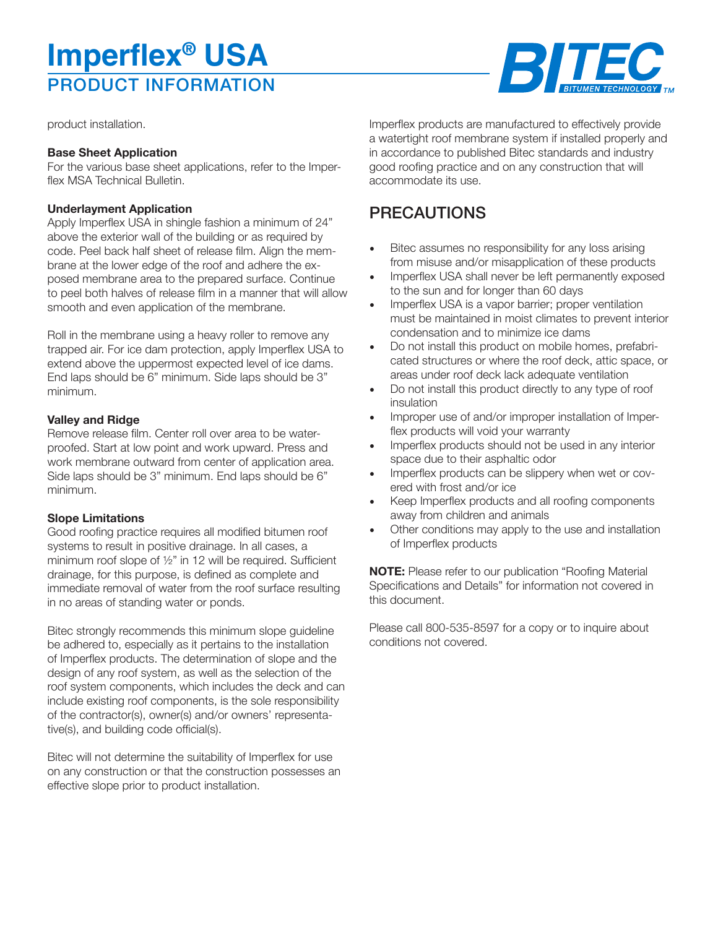# PRODUCT INFORMATION **Imperflex® USA**



product installation.

#### **Base Sheet Application**

For the various base sheet applications, refer to the Imperflex MSA Technical Bulletin.

#### **Underlayment Application**

Apply Imperflex USA in shingle fashion a minimum of 24" above the exterior wall of the building or as required by code. Peel back half sheet of release film. Align the membrane at the lower edge of the roof and adhere the exposed membrane area to the prepared surface. Continue to peel both halves of release film in a manner that will allow smooth and even application of the membrane.

Roll in the membrane using a heavy roller to remove any trapped air. For ice dam protection, apply Imperflex USA to extend above the uppermost expected level of ice dams. End laps should be 6" minimum. Side laps should be 3" minimum.

#### **Valley and Ridge**

Remove release film. Center roll over area to be waterproofed. Start at low point and work upward. Press and work membrane outward from center of application area. Side laps should be 3" minimum. End laps should be 6" minimum.

#### **Slope Limitations**

Good roofing practice requires all modified bitumen roof systems to result in positive drainage. In all cases, a minimum roof slope of ½" in 12 will be required. Sufficient drainage, for this purpose, is defined as complete and immediate removal of water from the roof surface resulting in no areas of standing water or ponds.

Bitec strongly recommends this minimum slope guideline be adhered to, especially as it pertains to the installation of Imperflex products. The determination of slope and the design of any roof system, as well as the selection of the roof system components, which includes the deck and can include existing roof components, is the sole responsibility of the contractor(s), owner(s) and/or owners' representative(s), and building code official(s).

Bitec will not determine the suitability of Imperflex for use on any construction or that the construction possesses an effective slope prior to product installation.

Imperflex products are manufactured to effectively provide a watertight roof membrane system if installed properly and in accordance to published Bitec standards and industry good roofing practice and on any construction that will accommodate its use.

# PRECAUTIONS

- Bitec assumes no responsibility for any loss arising from misuse and/or misapplication of these products
- Imperflex USA shall never be left permanently exposed to the sun and for longer than 60 days
- Imperflex USA is a vapor barrier; proper ventilation must be maintained in moist climates to prevent interior condensation and to minimize ice dams
- Do not install this product on mobile homes, prefabricated structures or where the roof deck, attic space, or areas under roof deck lack adequate ventilation
- Do not install this product directly to any type of roof insulation
- Improper use of and/or improper installation of Imperflex products will void your warranty
- Imperflex products should not be used in any interior space due to their asphaltic odor
- Imperflex products can be slippery when wet or covered with frost and/or ice
- Keep Imperflex products and all roofing components away from children and animals
- Other conditions may apply to the use and installation of Imperflex products

**NOTE:** Please refer to our publication "Roofing Material Specifications and Details" for information not covered in this document.

Please call 800-535-8597 for a copy or to inquire about conditions not covered.